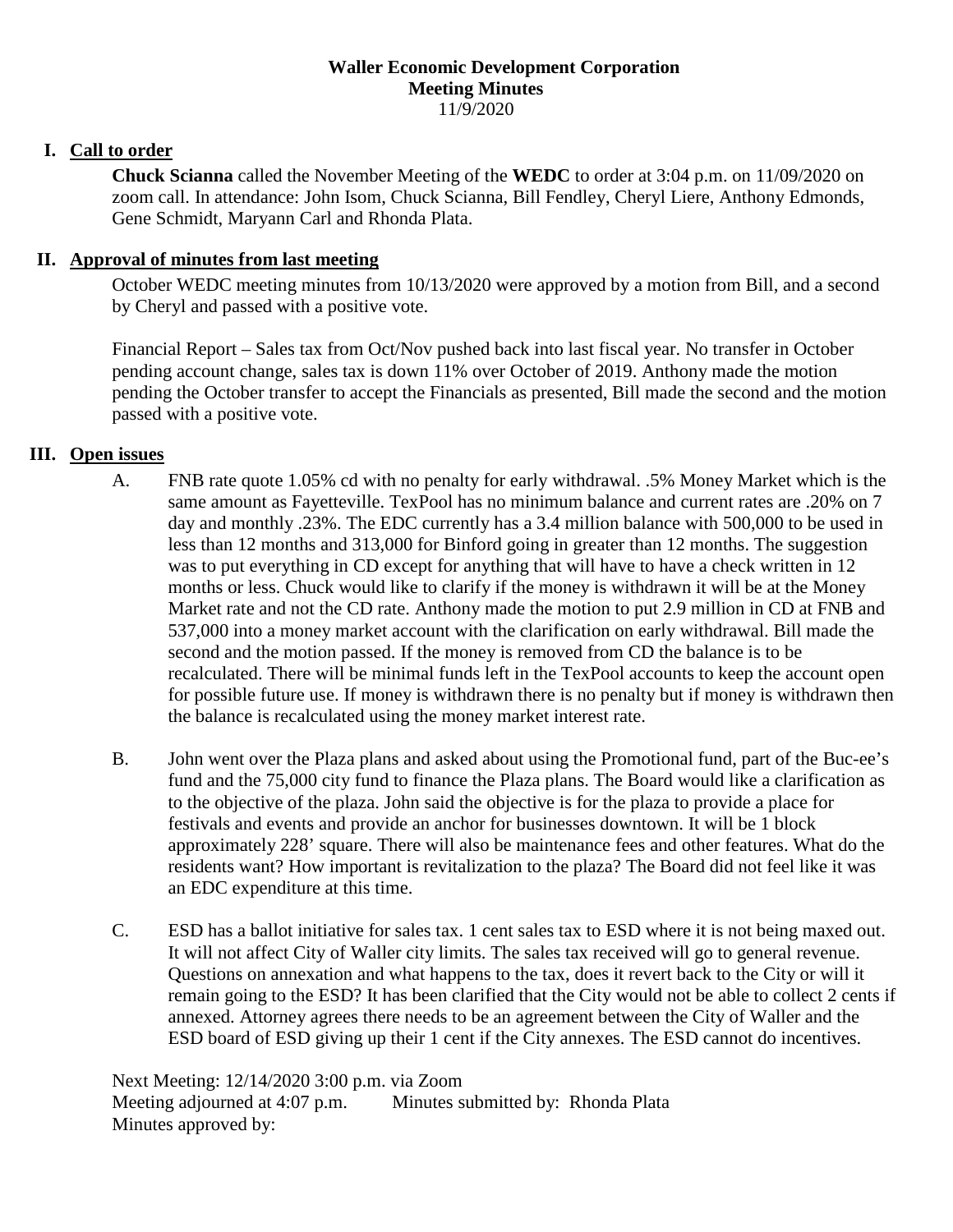## **Waller Economic Development Corporation Meeting Minutes** 11/9/2020

## **I. Call to order**

**Chuck Scianna** called the November Meeting of the **WEDC** to order at 3:04 p.m. on 11/09/2020 on zoom call. In attendance: John Isom, Chuck Scianna, Bill Fendley, Cheryl Liere, Anthony Edmonds, Gene Schmidt, Maryann Carl and Rhonda Plata.

## **II. Approval of minutes from last meeting**

October WEDC meeting minutes from 10/13/2020 were approved by a motion from Bill, and a second by Cheryl and passed with a positive vote.

Financial Report – Sales tax from Oct/Nov pushed back into last fiscal year. No transfer in October pending account change, sales tax is down 11% over October of 2019. Anthony made the motion pending the October transfer to accept the Financials as presented, Bill made the second and the motion passed with a positive vote.

## **III. Open issues**

- A. FNB rate quote 1.05% cd with no penalty for early withdrawal. .5% Money Market which is the same amount as Fayetteville. TexPool has no minimum balance and current rates are .20% on 7 day and monthly .23%. The EDC currently has a 3.4 million balance with 500,000 to be used in less than 12 months and 313,000 for Binford going in greater than 12 months. The suggestion was to put everything in CD except for anything that will have to have a check written in 12 months or less. Chuck would like to clarify if the money is withdrawn it will be at the Money Market rate and not the CD rate. Anthony made the motion to put 2.9 million in CD at FNB and 537,000 into a money market account with the clarification on early withdrawal. Bill made the second and the motion passed. If the money is removed from CD the balance is to be recalculated. There will be minimal funds left in the TexPool accounts to keep the account open for possible future use. If money is withdrawn there is no penalty but if money is withdrawn then the balance is recalculated using the money market interest rate.
- B. John went over the Plaza plans and asked about using the Promotional fund, part of the Buc-ee's fund and the 75,000 city fund to finance the Plaza plans. The Board would like a clarification as to the objective of the plaza. John said the objective is for the plaza to provide a place for festivals and events and provide an anchor for businesses downtown. It will be 1 block approximately 228' square. There will also be maintenance fees and other features. What do the residents want? How important is revitalization to the plaza? The Board did not feel like it was an EDC expenditure at this time.
- C. ESD has a ballot initiative for sales tax. 1 cent sales tax to ESD where it is not being maxed out. It will not affect City of Waller city limits. The sales tax received will go to general revenue. Questions on annexation and what happens to the tax, does it revert back to the City or will it remain going to the ESD? It has been clarified that the City would not be able to collect 2 cents if annexed. Attorney agrees there needs to be an agreement between the City of Waller and the ESD board of ESD giving up their 1 cent if the City annexes. The ESD cannot do incentives.

Next Meeting: 12/14/2020 3:00 p.m. via Zoom Meeting adjourned at 4:07 p.m. Minutes submitted by: Rhonda Plata Minutes approved by: